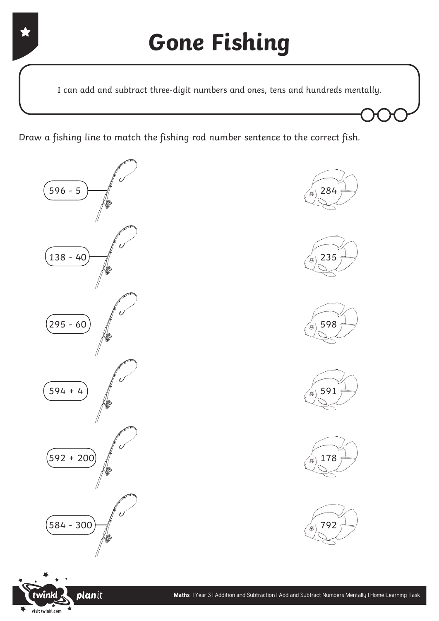I can add and subtract three-digit numbers and ones, tens and hundreds mentally.

Draw a fishing line to match the fishing rod number sentence to the correct fish.















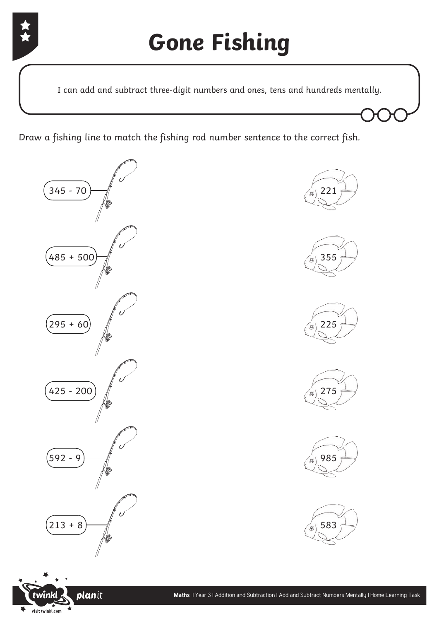

I can add and subtract three-digit numbers and ones, tens and hundreds mentally.

Draw a fishing line to match the fishing rod number sentence to the correct fish.















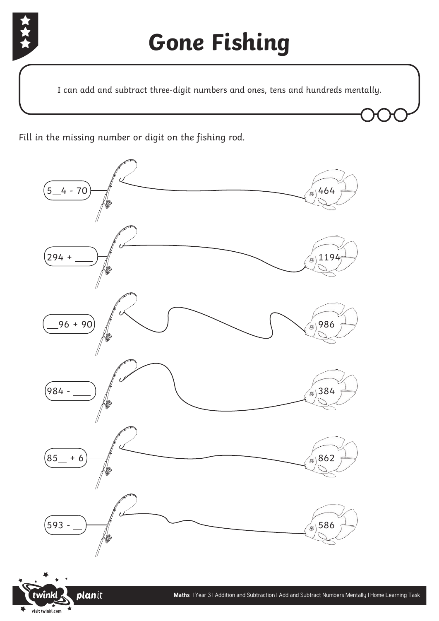

## **Gone Fishing**

I can add and subtract three-digit numbers and ones, tens and hundreds mentally.